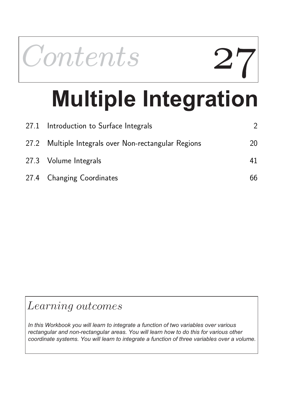

# **Multiple Integration**

| 27.1 Introduction to Surface Integrals               |    |
|------------------------------------------------------|----|
| 27.2 Multiple Integrals over Non-rectangular Regions | 20 |
| 27.3 Volume Integrals                                | 41 |
| 27.4 Changing Coordinates                            | 66 |

# Learning outcomes

*In this Workbook you will learn to integrate a function of two variables over various rectangular and non-rectangular areas. You will learn how to do this for various other coordinate systems. You will learn to integrate a function of three variables over a volume.*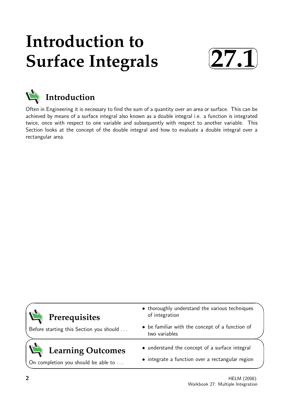# **Introduction to Surface Integrals**





Often in Engineering it is necessary to find the sum of a quantity over an area or surface. This can be achieved by means of a surface integral also known as a double integral i.e. a function is integrated twice, once with respect to one variable and subsequently with respect to another variable. This Section looks at the concept of the double integral and how to evaluate a double integral over a rectangular area.

| Prerequisites                           | • thoroughly understand the various techniques<br>of integration |  |  |
|-----------------------------------------|------------------------------------------------------------------|--|--|
| Before starting this Section you should | • be familiar with the concept of a function of<br>two variables |  |  |
| Learning Outcomes                       | • understand the concept of a surface integral                   |  |  |
|                                         | $\bullet$ integrate a function ever a rectangular region         |  |  |

On completion you should be able to . . .

 $\bullet$  integrate a function over a rectangular

 $\overline{\phantom{0}}$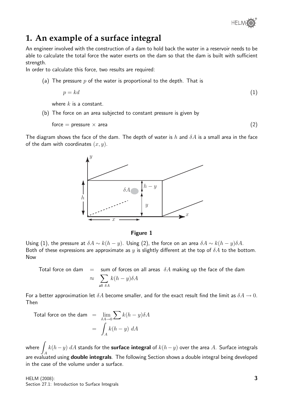

# **1. An example of a surface integral**

An engineer involved with the construction of a dam to hold back the water in a reservoir needs to be able to calculate the total force the water exerts on the dam so that the dam is built with sufficient strength.

In order to calculate this force, two results are required:

(a) The pressure  $p$  of the water is proportional to the depth. That is

$$
p = kd \tag{1}
$$

where  $k$  is a constant.

(b) The force on an area subjected to constant pressure is given by

$$
force = pressure \times area
$$
 (2)

The diagram shows the face of the dam. The depth of water is h and  $\delta A$  is a small area in the face of the dam with coordinates  $(x, y)$ .



#### Figure 1

Using (1), the pressure at  $\delta A \sim k(h - y)$ . Using (2), the force on an area  $\delta A \sim k(h - y)\delta A$ . Both of these expressions are approximate as y is slightly different at the top of  $\delta A$  to the bottom. Now

Total force on dam  $=$  sum of forces on all areas  $\delta A$  making up the face of the dam  $\approx$   $\sum$ all  $\delta A$  $k(h-y)\delta A$ 

For a better approximation let  $\delta A$  become smaller, and for the exact result find the limit as  $\delta A \rightarrow 0$ . Then

Total force on the dam = 
$$
\lim_{\delta A \to 0} \sum k(h - y) \delta A
$$
  
=  $\int_A k(h - y) dA$ 

where  $\sqrt{2}$ A  $k(h-y)$   $dA$  stands for the <code>surface</code> integral of  $k(h-y)$  over the area  $A$ . Surface integrals are evaluated using **double integrals**. The following Section shows a double integral being developed in the case of the volume under a surface.

HELM (2008): Section 27.1: Introduction to Surface Integrals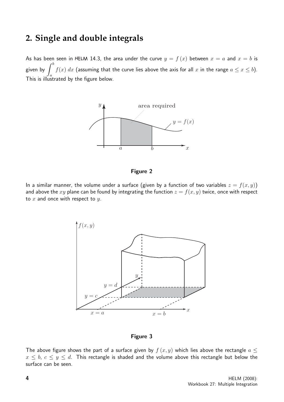# **2. Single and double integrals**

As has been seen in HELM 14.3, the area under the curve  $y = f(x)$  between  $x = a$  and  $x = b$  is given by  $\int^b$ a  $f(x) \; dx$  (assuming that the curve lies above the axis for all  $x$  in the range  $a \leq x \leq b).$ This is illustrated by the figure below.



#### Figure 2

In a similar manner, the volume under a surface (given by a function of two variables  $z = f(x, y)$ ) and above the xy plane can be found by integrating the function  $z = f(x, y)$  twice, once with respect to  $x$  and once with respect to  $y$ .



Figure 3

The above figure shows the part of a surface given by  $f(x, y)$  which lies above the rectangle  $a \leq$  $x \leq b, c \leq y \leq d$ . This rectangle is shaded and the volume above this rectangle but below the surface can be seen.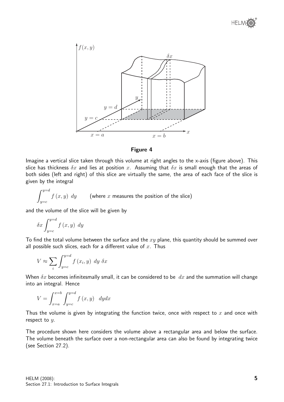





Imagine a vertical slice taken through this volume at right angles to the x-axis (figure above). This slice has thickness  $\delta x$  and lies at position x. Assuming that  $\delta x$  is small enough that the areas of both sides (left and right) of this slice are virtually the same, the area of each face of the slice is given by the integral

$$
\int_{y=c}^{y=d} f(x,y) \, dy \qquad \text{(where } x \text{ measures the position of the slice)}
$$

and the volume of the slice will be given by

$$
\delta x \int_{y=c}^{y=d} f(x, y) \ dy
$$

To find the total volume between the surface and the  $xy$  plane, this quantity should be summed over all possible such slices, each for a different value of  $x$ . Thus

$$
V \approx \sum_{i} \int_{y=c}^{y=d} f(x_i, y) \ dy \ \delta x
$$

When  $\delta x$  becomes infinitesmally small, it can be considered to be  $dx$  and the summation will change into an integral. Hence

$$
V = \int_{x=a}^{x=b} \int_{y=c}^{y=d} f(x, y) \, dy dx
$$

Thus the volume is given by integrating the function twice, once with respect to  $x$  and once with respect to y.

The procedure shown here considers the volume above a rectangular area and below the surface. The volume beneath the surface over a non-rectangular area can also be found by integrating twice (see Section 27.2).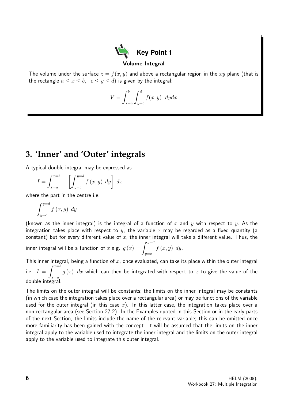

#### Volume Integral

The volume under the surface  $z = f(x, y)$  and above a rectangular region in the xy plane (that is the rectangle  $a \leq x \leq b$ ,  $c \leq y \leq d$ ) is given by the integral:

$$
V = \int_{x=a}^{b} \int_{y=c}^{d} f(x, y) \, dy dx
$$

# **3. 'Inner' and 'Outer' integrals**

A typical double integral may be expressed as

$$
I = \int_{x=a}^{x=b} \left[ \int_{y=c}^{y=d} f(x, y) \ dy \right] dx
$$

where the part in the centre i.e.

$$
\int_{y=c}^{y=d} f(x, y) \ dy
$$

(known as the inner integral) is the integral of a function of x and y with respect to y. As the integration takes place with respect to  $y$ , the variable x may be regarded as a fixed quantity (a constant) but for every different value of  $x$ , the inner integral will take a different value. Thus, the

inner integral will be a function of  $x$  e.g.  $g\left(x\right)=\int^{y=d}$  $y=c$  $f(x, y)$  dy.

This inner integral, being a function of  $x$ , once evaluated, can take its place within the outer integral i.e.  $I = \int^{x=\bar{b}}$  $x=a$  $g\left(x\right)\;dx$  which can then be integrated with respect to  $x$  to give the value of the double integral.

The limits on the outer integral will be constants; the limits on the inner integral may be constants (in which case the integration takes place over a rectangular area) or may be functions of the variable used for the outer integral (in this case  $x$ ). In this latter case, the integration takes place over a non-rectangular area (see Section 27.2). In the Examples quoted in this Section or in the early parts of the next Section, the limits include the name of the relevant variable; this can be omitted once more familiarity has been gained with the concept. It will be assumed that the limits on the inner integral apply to the variable used to integrate the inner integral and the limits on the outer integral apply to the variable used to integrate this outer integral.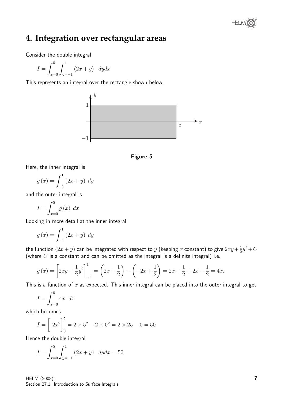

# **4. Integration over rectangular areas**

Consider the double integral

$$
I = \int_{x=0}^{5} \int_{y=-1}^{1} (2x + y) \, dy dx
$$

This represents an integral over the rectangle shown below.





Here, the inner integral is

$$
g\left(x\right) = \int_{-1}^{1} \left(2x + y\right) \, dy
$$

and the outer integral is

$$
I = \int_{x=0}^{5} g(x) \, dx
$$

Looking in more detail at the inner integral

$$
g\left(x\right) = \int_{-1}^{1} \left(2x + y\right) \, dy
$$

the function  $(2x+y)$  can be integrated with respect to  $y$  (keeping  $x$  constant) to give  $2xy+\frac{1}{2}$  $\frac{1}{2}y^2 + C$ (where  $C$  is a constant and can be omitted as the integral is a definite integral) i.e.

$$
g(x) = \left[2xy + \frac{1}{2}y^2\right]_{-1}^{1} = \left(2x + \frac{1}{2}\right) - \left(-2x + \frac{1}{2}\right) = 2x + \frac{1}{2} + 2x - \frac{1}{2} = 4x.
$$

This is a function of  $x$  as expected. This inner integral can be placed into the outer integral to get

$$
I = \int_{x=0}^{5} 4x \, dx
$$

which becomes

$$
I = \left[2x^2\right]_0^5 = 2 \times 5^2 - 2 \times 0^2 = 2 \times 25 - 0 = 50
$$

Hence the double integral

$$
I = \int_{x=0}^{5} \int_{y=-1}^{1} (2x + y) \, dy dx = 50
$$

HELM (2008): Section 27.1: Introduction to Surface Integrals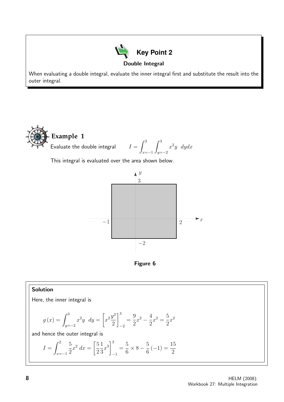

When evaluating a double integral, evaluate the inner integral first and substitute the result into the outer integral.



This integral is evaluated over the area shown below.





# Solution

Here, the inner integral is

$$
g(x) = \int_{y=-2}^{3} x^2 y \, dy = \left[ x^2 \frac{y^2}{2} \right]_{-2}^{3} = \frac{9}{2} x^2 - \frac{4}{2} x^2 = \frac{5}{2} x^2
$$

and hence the outer integral is

$$
I = \int_{x=-1}^{2} \frac{5}{2} x^2 dx = \left[\frac{5}{2} \frac{1}{3} x^3\right]_{-1}^{2} = \frac{5}{6} \times 8 - \frac{5}{6} (-1) = \frac{15}{2}
$$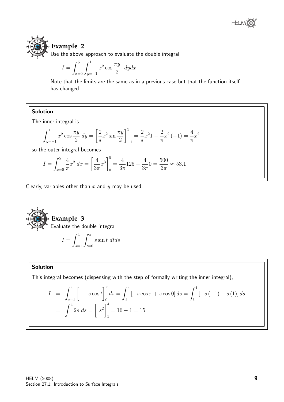# **Example 2**

Use the above approach to evaluate the double integral

$$
I = \int_{x=0}^{5} \int_{y=-1}^{1} x^2 \cos \frac{\pi y}{2} \, dy dx
$$

Note that the limits are the same as in a previous case but that the function itself has changed.

# Solution

The inner integral is

$$
\int_{y=-1}^{1} x^2 \cos \frac{\pi y}{2} \, dy = \left[ \frac{2}{\pi} x^2 \sin \frac{\pi y}{2} \right]_{-1}^{1} = \frac{2}{\pi} x^2 \left( -2 \right) = \frac{4}{\pi} x^2
$$

so the outer integral becomes

$$
I = \int_{x=0}^{5} \frac{4}{\pi} x^2 dx = \left[ \frac{4}{3\pi} x^3 \right]_0^5 = \frac{4}{3\pi} 125 - \frac{4}{3\pi} 0 = \frac{500}{3\pi} \approx 53.1
$$

Clearly, variables other than  $x$  and  $y$  may be used.

 $s=1$   $Jt=0$ 

**Example 3**  
Evaluate the double integral  

$$
I = \int_{0}^{4} \int_{0}^{\pi} s \sin t \ dt ds
$$

## Solution

This integral becomes (dispensing with the step of formally writing the inner integral),

$$
I = \int_{s=1}^{4} \left[ -s \cos t \right]_{0}^{\pi} ds = \int_{1}^{4} \left[ -s \cos \pi + s \cos 0 \right] ds = \int_{1}^{4} \left[ -s \left( -1 \right) + s \left( 1 \right) \right] ds
$$

$$
= \int_{1}^{4} 2s \, ds = \left[ s^{2} \right]_{1}^{4} = 16 - 1 = 15
$$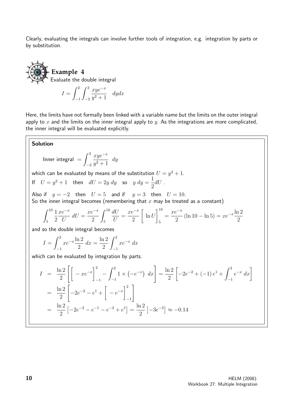Clearly, evaluating the integrals can involve further tools of integration, e.g. integration by parts or by substitution.

# **Example 4** Evaluate the double integral

$$
I = \int_{-1}^{2} \int_{-2}^{3} \frac{xy e^{-x}}{y^2 + 1} \, dy dx
$$

Here, the limits have not formally been linked with a variable name but the limits on the outer integral apply to  $x$  and the limits on the inner integral apply to  $y$ . As the integrations are more complicated, the inner integral will be evaluated explicitly.

# Solution

Inner integral 
$$
=
$$
  $\int_{-2}^{3} \frac{xy e^{-x}}{y^2 + 1} dy$ 

which can be evaluated by means of the substitution  $U = y^2 + 1.$ If  $U = y^2 + 1$  then  $dU = 2y dy$  so  $y dy = \frac{1}{2}$ 

2  $dU$ . Also if  $y = -2$  then  $U = 5$  and if  $y = 3$  then  $U = 10$ . So the inner integral becomes (remembering that x may be treated as a constant)

$$
\int_5^{10} \frac{1}{2} \frac{xe^{-x}}{U} dU = \frac{xe^{-x}}{2} \int_5^{10} \frac{dU}{U} = \frac{xe^{-x}}{2} \left[ \ln U \right]_5^{10} = \frac{xe^{-x}}{2} (\ln 10 - \ln 5) = xe^{-x} \frac{\ln 2}{2}
$$

and so the double integral becomes

$$
I = \int_{-1}^{2} xe^{-x} \frac{\ln 2}{2} dx = \frac{\ln 2}{2} \int_{-1}^{2} xe^{-x} dx
$$

which can be evaluated by integration by parts.

$$
I = \frac{\ln 2}{2} \left[ \left[ -xe^{-x} \right]_{-1}^{2} - \int_{-1}^{2} 1 \times (-e^{-x}) dx \right] = \frac{\ln 2}{2} \left[ -2e^{-2} + (-1)e^{1} + \int_{-1}^{2} e^{-x} dx \right]
$$
  

$$
= \frac{\ln 2}{2} \left[ -2e^{-2} - e^{1} + \left[ -e^{-x} \right]_{-1}^{2} \right]
$$
  

$$
= \frac{\ln 2}{2} \left[ -2e^{-2} - e^{-1} - e^{-2} + e^{1} \right] = \frac{\ln 2}{2} \left[ -3e^{-2} \right] \approx -0.14
$$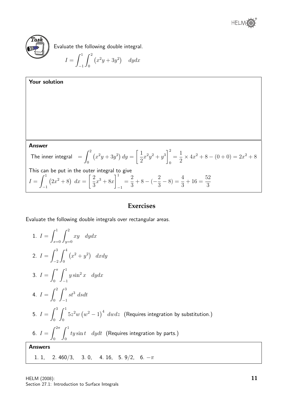



Evaluate the following double integral.

$$
I = \int_{-1}^{1} \int_{0}^{2} (x^2 y + 3y^2) \, dy dx
$$



## **Exercises**

Evaluate the following double integrals over rectangular areas.

1. 
$$
I = \int_{x=0}^{1} \int_{y=0}^{2} xy \ dy dx
$$
  
\n2.  $I = \int_{-2}^{3} \int_{0}^{4} (x^2 + y^2) \ dx dy$   
\n3.  $I = \int_{0}^{\pi} \int_{-1}^{1} y \sin^2 x \ dy dx$   
\n4.  $I = \int_{0}^{2} \int_{-1}^{3} st^3 \ ds dt$   
\n5.  $I = \int_{0}^{3} \int_{0}^{1} 5z^2 w (w^2 - 1)^4 \ dw dz$  (Requirements integration by substitution.)  
\n6.  $I = \int_{0}^{2\pi} \int_{0}^{1} ty \sin t \ dy dt$  (Requirements integration by parts.)  
\nAnswers  
\n1. 1, 2. 460/3, 3. 0, 4. 16, 5. 9/2, 6.  $-\pi$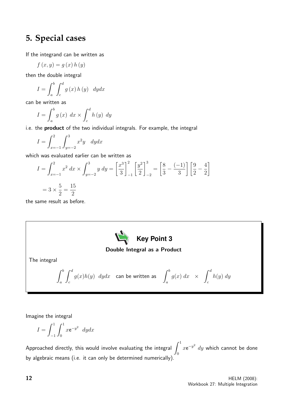# **5. Special cases**

If the integrand can be written as

$$
f(x,y) = g(x) h(y)
$$

then the double integral

$$
I = \int_{a}^{b} \int_{c}^{d} g(x) h(y) \, dy dx
$$

can be written as

$$
I = \int_{a}^{b} g(x) \, dx \times \int_{c}^{d} h(y) \, dy
$$

i.e. the **product** of the two individual integrals. For example, the integral

$$
I = \int_{x=-1}^{2} \int_{y=-2}^{3} x^2 y \, dy dx
$$

which was evaluated earlier can be written as

$$
I = \int_{x=-1}^{2} x^2 dx \times \int_{y=-2}^{3} y dy = \left[\frac{x^3}{3}\right]_{-1}^{2} \left[\frac{y^2}{2}\right]_{-2}^{3} = \left[\frac{8}{3} - \frac{(-1)}{3}\right] \left[\frac{9}{2} - \frac{4}{2}\right]
$$
  
=  $3 \times \frac{5}{2} = \frac{15}{2}$ 

the same result as before.



#### Double Integral as a Product

The integral

$$
\int_{a}^{b} \int_{c}^{d} g(x)h(y) \, dydx \quad \text{can be written as} \quad \int_{a}^{b} g(x) \, dx \quad \times \quad \int_{c}^{d} h(y) \, dy
$$

Imagine the integral

$$
I = \int_{-1}^{1} \int_{0}^{1} x e^{-y^2} dy dx
$$

Approached directly, this would involve evaluating the integral  $\int^1$ 0  $x e^{-y^2}$  dy which cannot be done by algebraic means (i.e. it can only be determined numerically).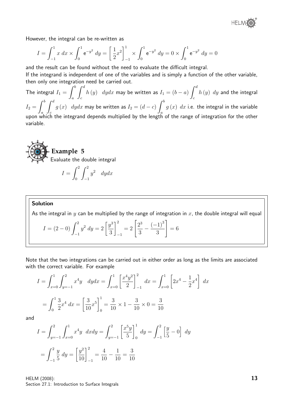

However, the integral can be re-written as

$$
I = \int_{-1}^{1} x \, dx \times \int_{0}^{1} e^{-y^2} \, dy = \left[ \frac{1}{2} x^2 \right]_{-1}^{1} \times \int_{0}^{1} e^{-y^2} \, dy = 0 \times \int_{0}^{1} e^{-y^2} \, dy = 0
$$

and the result can be found without the need to evaluate the difficult integral.

If the integrand is independent of one of the variables and is simply a function of the other variable, then only one integration need be carried out.

The integral  $I_1 =$  $\int^b$ a  $\int d^d$ c  $h\left(y\right)$   $\ dydx$  may be written as  $I_{1}=\left(b-a\right)$  $\int^d$ c  $h\left(y\right)\;dy$  and the integral  $I_2 =$  $\int^b$ a  $\int d^d$ c  $g\left(x\right)$   $\ dydx$  may be written as  $I_{2}=\left(d-c\right)$  $\int^b$ a  $g\left(x\right)\;dx$  i.e. the integral in the variable upon which the integrand depends multiplied by the length of the range of integration for the other variable.



$$
I = \int_0^2 \int_{-1}^2 y^2 \, dy dx
$$

#### Solution

As the integral in y can be multiplied by the range of integration in  $x$ , the double integral will equal

$$
I = (2 - 0) \int_{-1}^{2} y^2 dy = 2 \left[ \frac{y^3}{3} \right]_{-1}^{2} = 2 \left[ \frac{2^3}{3} - \frac{(-1)^3}{3} \right] = 6
$$

Note that the two integrations can be carried out in either order as long as the limits are associated with the correct variable. For example

$$
I = \int_{x=0}^{1} \int_{y=-1}^{2} x^4 y \, dy dx = \int_{x=0}^{1} \left[ \frac{x^4 y^2}{2} \right]_{-1}^{2} dx = \int_{x=0}^{1} \left[ 2x^4 - \frac{1}{2} x^4 \right] dx
$$

$$
= \int_{0}^{1} \frac{3}{2} x^4 dx = \left[ \frac{3}{10} x^5 \right]_{0}^{1} = \frac{3}{10} \times 1 - \frac{3}{10} \times 0 = \frac{3}{10}
$$

and

$$
I = \int_{y=-1}^{2} \int_{x=0}^{1} x^4 y \ dx dy = \int_{y=-1}^{2} \left[ \frac{x^5 y}{5} \right]_0^1 dy = \int_{-1}^{2} \left[ \frac{y}{5} - 0 \right] dy
$$

$$
= \int_{-1}^{2} \frac{y}{5} dy = \left[ \frac{y^2}{10} \right]_{-1}^{2} = \frac{4}{10} - \frac{1}{10} = \frac{3}{10}
$$

HELM (2008): Section 27.1: Introduction to Surface Integrals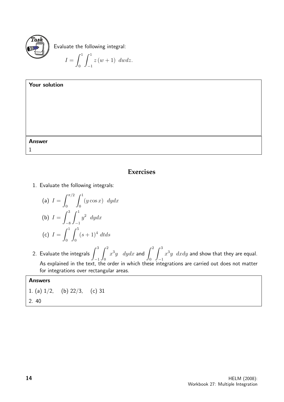

Evaluate the following integral:

$$
I = \int_0^1 \int_{-1}^1 z (w+1) \ dw dz.
$$

| Your solution |  |  |
|---------------|--|--|
|               |  |  |
|               |  |  |
|               |  |  |
|               |  |  |
| <b>Answer</b> |  |  |
| 1             |  |  |

# **Exercises**

1. Evaluate the following integrals:

(a) 
$$
I = \int_0^{\pi/2} \int_0^1 (y \cos x) \ dy dx
$$
  
\n(b)  $I = \int_{-8}^3 \int_{-1}^1 y^2 \ dy dx$   
\n(c)  $I = \int_0^1 \int_0^5 (s+1)^4 \ dt ds$ 

2. Evaluate the integrals  $\int^3$ −1  $\int_0^2$ 0  $x^3y$  dydx and  $\int^2$ 0  $\int^3$ −1  $x^3y$   $dx dy$  and show that they are equal. As explained in the text, the order in which these integrations are carried out does not matter for integrations over rectangular areas.

# Answers

1. (a)  $1/2$ , (b)  $22/3$ , (c) 31 2. 40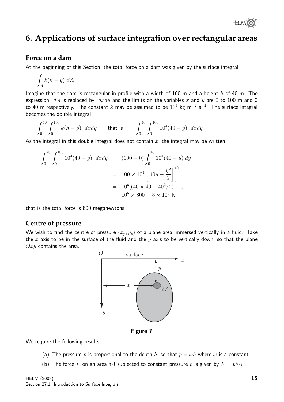

# **6. Applications of surface integration over rectangular areas**

# **Force on a dam**

At the beginning of this Section, the total force on a dam was given by the surface integral

$$
\int_A k(h-y) \; dA
$$

Imagine that the dam is rectangular in profile with a width of 100 m and a height  $h$  of 40 m. The expression  $dA$  is replaced by  $dxdy$  and the limits on the variables x and y are 0 to 100 m and 0 to 40 m respectively. The constant  $k$  may be assumed to be  $10^4$  kg m $^{-2}$  s $^{-2}$ . The surface integral becomes the double integral

$$
\int_0^{40} \int_0^{100} k(h-y) \ dx dy \qquad \text{that is} \qquad \int_0^{40} \int_0^{100} 10^4 (40-y) \ dx dy
$$

As the integral in this double integral does not contain  $x$ , the integral may be written

$$
\int_0^{40} \int_0^{100} 10^4 (40 - y) \ dx dy = (100 - 0) \int_0^{40} 10^4 (40 - y) \ dy
$$
  
=  $100 \times 10^4 \left[ 40y - \frac{y^2}{2} \right]_0^{40}$   
=  $10^6 [(40 \times 40 - 40^2 / 2) - 0]$   
=  $10^6 \times 800 = 8 \times 10^8$  N

that is the total force is 800 meganewtons.

### **Centre of pressure**

We wish to find the centre of pressure  $(x_p, y_p)$  of a plane area immersed vertically in a fluid. Take the x axis to be in the surface of the fluid and the y axis to be vertically down, so that the plane  $Oxy$  contains the area.



Figure 7

We require the following results:

- (a) The pressure p is proportional to the depth h, so that  $p = \omega h$  where  $\omega$  is a constant.
- (b) The force F on an area  $\delta A$  subjected to constant pressure p is given by  $F = p\delta A$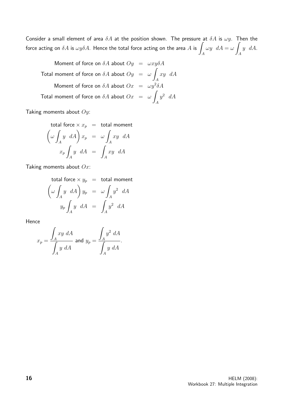Consider a small element of area  $\delta A$  at the position shown. The pressure at  $\delta A$  is  $\omega y$ . Then the force acting on  $\delta A$  is  $\omega y \delta A$ . Hence the total force acting on the area  $A$  is  $\hat{A}$ A  $\omega y \, dA = \omega$ A  $y \, dA$ .

Moment of force on  $\delta A$  about  $Oy = \omega xy \delta A$ Total moment of force on  $\delta A$  about  $Oy = \omega$ A xy dA Moment of force on  $\delta A$  about  $Ox = \omega y^2 \delta A$ Total moment of force on  $\delta A$  about  $Ox = \omega$ A  $y^2$  dA

Taking moments about  $Oy$ :

total force 
$$
\times x_p
$$
 = total moment  
\n
$$
\left(\omega \int_A y \ dA\right) x_p = \omega \int_A xy \ dA
$$
\n
$$
x_p \int_A y \ dA = \int_A xy \ dA
$$

Taking moments about  $Ox$ :

total force 
$$
\times y_p
$$
 = total moment  
\n
$$
\left(\omega \int_A y \ dA\right) y_p = \omega \int_A y^2 \ dA
$$
\n
$$
y_p \int_A y \ dA = \int_A y^2 \ dA
$$

Hence

$$
x_p = \frac{\int_A xy \ dA}{\int_A y \ dA} \text{ and } y_p = \frac{\int_A y^2 \ dA}{\int_A y \ dA}.
$$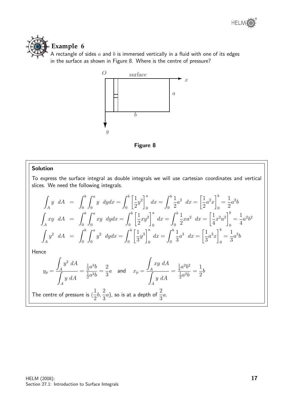

# **Example 6**

A rectangle of sides  $a$  and  $b$  is immersed vertically in a fluid with one of its edges in the surface as shown in Figure 8. Where is the centre of pressure?



Figure 8

#### Solution

To express the surface integral as double integrals we will use cartesian coordinates and vertical slices. We need the following integrals.

$$
\int_{A} y \ dA = \int_{0}^{b} \int_{0}^{a} y \ dy dx = \int_{0}^{b} \left[ \frac{1}{2} y^{2} \right]_{0}^{a} dx = \int_{0}^{b} \frac{1}{2} a^{2} \ dx = \left[ \frac{1}{2} a^{2} x \right]_{0}^{b} = \frac{1}{2} a^{2} b
$$
\n
$$
\int_{A} xy \ dA = \int_{0}^{b} \int_{0}^{a} xy \ dy dx = \int_{0}^{b} \left[ \frac{1}{2} xy^{2} \right]_{0}^{a} dx = \int_{0}^{b} \frac{1}{2} x a^{2} \ dx = \left[ \frac{1}{4} x^{2} a^{2} \right]_{0}^{b} = \frac{1}{4} a^{2} b^{2}
$$
\n
$$
\int_{A} y^{2} dA = \int_{0}^{b} \int_{0}^{a} y^{2} \ dy dx = \int_{0}^{b} \left[ \frac{1}{3} y^{3} \right]_{0}^{a} dx = \int_{0}^{b} \frac{1}{3} a^{3} \ dx = \left[ \frac{1}{3} a^{3} x \right]_{0}^{b} = \frac{1}{3} a^{3} b
$$

Hence

$$
y_p = \frac{\int_A y^2 \, dA}{\int_A y \, dA} = \frac{\frac{1}{3}a^3b}{\frac{1}{2}a^2b} = \frac{2}{3}a \quad \text{and} \quad x_p = \frac{\int_A xy \, dA}{\int_A y \, dA} = \frac{\frac{1}{4}a^2b^2}{\frac{1}{2}a^2b} = \frac{1}{2}b
$$
\nThe centre of pressure is  $(\frac{1}{2}b, \frac{2}{3}a)$ , so is at a depth of  $\frac{2}{3}a$ .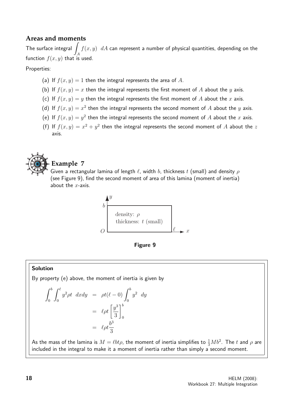# **Areas and moments**

The surface integral  $\int f(x,y) \,\,\, dA$  can represent a number of physical quantities, depending on the function  $f(x, y)$  that is used.

#### Properties:

- (a) If  $f(x, y) = 1$  then the integral represents the area of A.
- (b) If  $f(x, y) = x$  then the integral represents the first moment of A about the y axis.
- (c) If  $f(x, y) = y$  then the integral represents the first moment of A about the x axis.
- (d) If  $f(x, y) = x^2$  then the integral represents the second moment of A about the y axis.
- (e) If  $f(x, y) = y^2$  then the integral represents the second moment of A about the x axis.
- (f) If  $f(x, y) = x^2 + y^2$  then the integral represents the second moment of A about the z axis.



# **Example 7**

Given a rectangular lamina of length  $\ell$ , width b, thickness t (small) and density  $\rho$ (see Figure 9), find the second moment of area of this lamina (moment of inertia) about the  $x$ -axis.





## Solution

By property (e) above, the moment of inertia is given by

$$
\int_0^b \int_0^\ell y^2 \rho t \ dx dy = \rho t (\ell - 0) \int_0^b y^2 \ dy
$$

$$
= \ell \rho t \left[ \frac{y^3}{3} \right]_0^b
$$

$$
= \ell \rho t \frac{b^3}{3}
$$

As the mass of the lamina is  $M = \ell b t \rho$ , the moment of inertia simplifies to  $\frac{1}{3} M b^2$ . The  $t$  and  $\rho$  are included in the integral to make it a moment of inertia rather than simply a second moment.